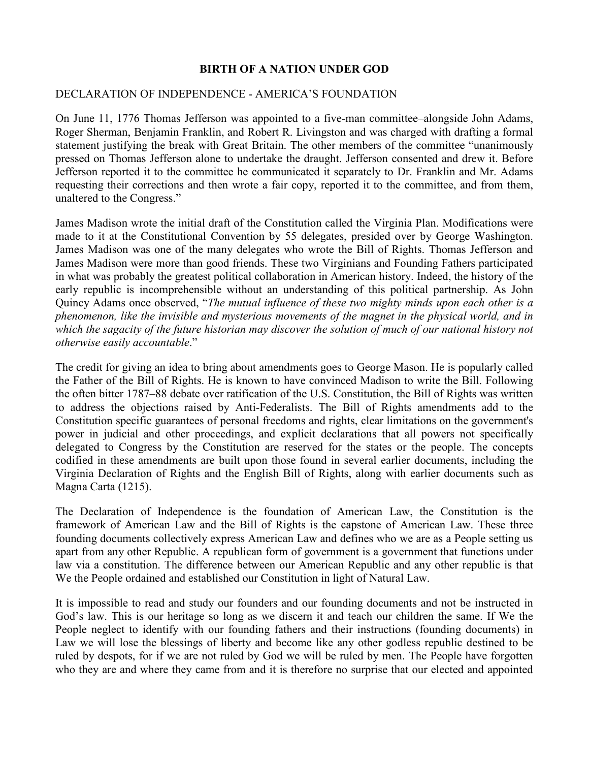### **BIRTH OF A NATION UNDER GOD**

### DECLARATION OF INDEPENDENCE - AMERICA'S FOUNDATION

On June 11, 1776 Thomas Jefferson was appointed to a five-man committee–alongside John Adams, Roger Sherman, Benjamin Franklin, and Robert R. Livingston and was charged with drafting a formal statement justifying the break with Great Britain. The other members of the committee "unanimously pressed on Thomas Jefferson alone to undertake the draught. Jefferson consented and drew it. Before Jefferson reported it to the committee he communicated it separately to Dr. Franklin and Mr. Adams requesting their corrections and then wrote a fair copy, reported it to the committee, and from them, unaltered to the Congress."

James Madison wrote the initial draft of the Constitution called the Virginia Plan. Modifications were made to it at the Constitutional Convention by 55 delegates, presided over by George Washington. James Madison was one of the many delegates who wrote the Bill of Rights. Thomas Jefferson and James Madison were more than good friends. These two Virginians and Founding Fathers participated in what was probably the greatest political collaboration in American history. Indeed, the history of the early republic is incomprehensible without an understanding of this political partnership. As John Quincy Adams once observed, "*The mutual influence of these two mighty minds upon each other is a phenomenon, like the invisible and mysterious movements of the magnet in the physical world, and in which the sagacity of the future historian may discover the solution of much of our national history not otherwise easily accountable*."

The credit for giving an idea to bring about amendments goes to George Mason. He is popularly called the Father of the Bill of Rights. He is known to have convinced Madison to write the Bill. Following the often bitter 1787–88 debate over ratification of the U.S. Constitution, the Bill of Rights was written to address the objections raised by Anti-Federalists. The Bill of Rights amendments add to the Constitution specific guarantees of personal freedoms and rights, clear limitations on the government's power in judicial and other proceedings, and explicit declarations that all powers not specifically delegated to Congress by the Constitution are reserved for the states or the people. The concepts codified in these amendments are built upon those found in several earlier documents, including the Virginia Declaration of Rights and the English Bill of Rights, along with earlier documents such as Magna Carta (1215).

The Declaration of Independence is the foundation of American Law, the Constitution is the framework of American Law and the Bill of Rights is the capstone of American Law. These three founding documents collectively express American Law and defines who we are as a People setting us apart from any other Republic. A republican form of government is a government that functions under law via a constitution. The difference between our American Republic and any other republic is that We the People ordained and established our Constitution in light of Natural Law.

It is impossible to read and study our founders and our founding documents and not be instructed in God's law. This is our heritage so long as we discern it and teach our children the same. If We the People neglect to identify with our founding fathers and their instructions (founding documents) in Law we will lose the blessings of liberty and become like any other godless republic destined to be ruled by despots, for if we are not ruled by God we will be ruled by men. The People have forgotten who they are and where they came from and it is therefore no surprise that our elected and appointed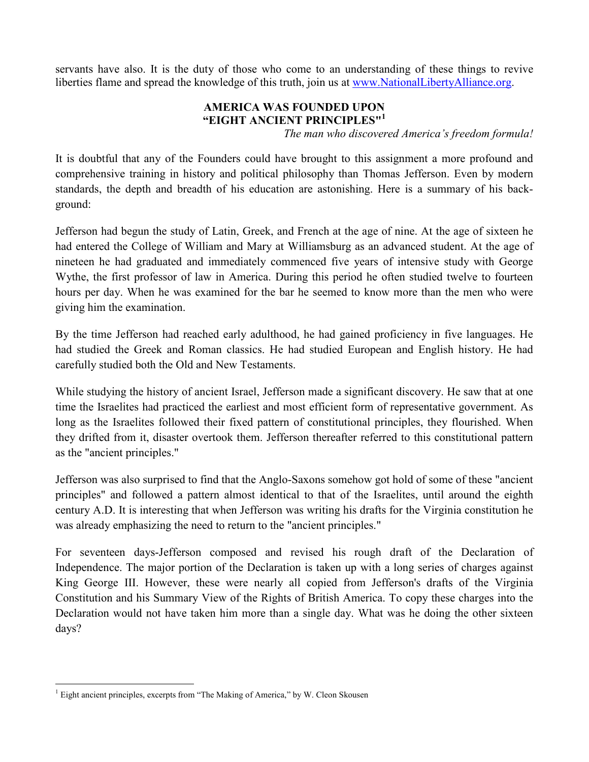servants have also. It is the duty of those who come to an understanding of these things to revive liberties flame and spread the knowledge of this truth, join us at www.NationalLibertyAlliance.org.

# **AMERICA WAS FOUNDED UPON "EIGHT ANCIENT PRINCIPLES"<sup>1</sup>**

*The man who discovered America's freedom formula!* 

It is doubtful that any of the Founders could have brought to this assignment a more profound and comprehensive training in history and political philosophy than Thomas Jefferson. Even by modern standards, the depth and breadth of his education are astonishing. Here is a summary of his background:

Jefferson had begun the study of Latin, Greek, and French at the age of nine. At the age of sixteen he had entered the College of William and Mary at Williamsburg as an advanced student. At the age of nineteen he had graduated and immediately commenced five years of intensive study with George Wythe, the first professor of law in America. During this period he often studied twelve to fourteen hours per day. When he was examined for the bar he seemed to know more than the men who were giving him the examination.

By the time Jefferson had reached early adulthood, he had gained proficiency in five languages. He had studied the Greek and Roman classics. He had studied European and English history. He had carefully studied both the Old and New Testaments.

While studying the history of ancient Israel, Jefferson made a significant discovery. He saw that at one time the Israelites had practiced the earliest and most efficient form of representative government. As long as the Israelites followed their fixed pattern of constitutional principles, they flourished. When they drifted from it, disaster overtook them. Jefferson thereafter referred to this constitutional pattern as the "ancient principles."

Jefferson was also surprised to find that the Anglo-Saxons somehow got hold of some of these "ancient principles" and followed a pattern almost identical to that of the Israelites, until around the eighth century A.D. It is interesting that when Jefferson was writing his drafts for the Virginia constitution he was already emphasizing the need to return to the "ancient principles."

For seventeen days-Jefferson composed and revised his rough draft of the Declaration of Independence. The major portion of the Declaration is taken up with a long series of charges against King George III. However, these were nearly all copied from Jefferson's drafts of the Virginia Constitution and his Summary View of the Rights of British America. To copy these charges into the Declaration would not have taken him more than a single day. What was he doing the other sixteen days?

<sup>&</sup>lt;sup>1</sup> Eight ancient principles, excerpts from "The Making of America," by W. Cleon Skousen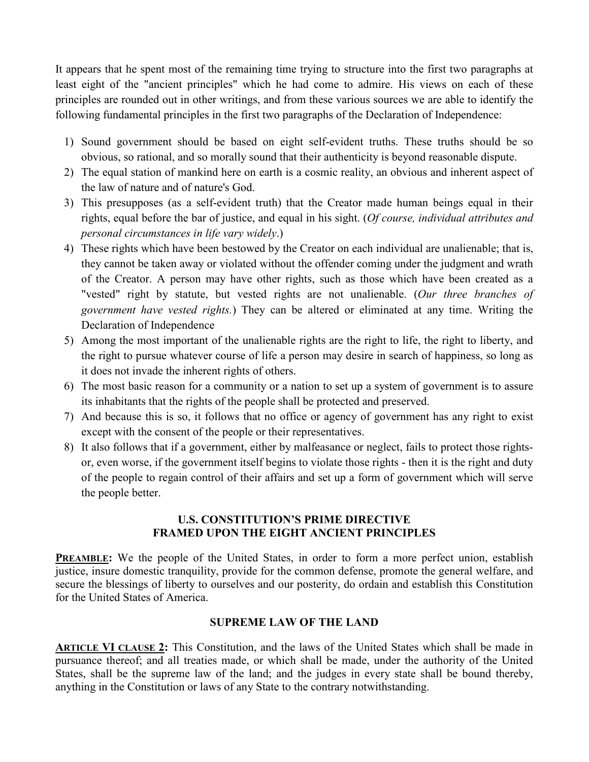It appears that he spent most of the remaining time trying to structure into the first two paragraphs at least eight of the "ancient principles" which he had come to admire. His views on each of these principles are rounded out in other writings, and from these various sources we are able to identify the following fundamental principles in the first two paragraphs of the Declaration of Independence:

- 1) Sound government should be based on eight self-evident truths. These truths should be so obvious, so rational, and so morally sound that their authenticity is beyond reasonable dispute.
- 2) The equal station of mankind here on earth is a cosmic reality, an obvious and inherent aspect of the law of nature and of nature's God.
- 3) This presupposes (as a self-evident truth) that the Creator made human beings equal in their rights, equal before the bar of justice, and equal in his sight. (*Of course, individual attributes and personal circumstances in life vary widely*.)
- 4) These rights which have been bestowed by the Creator on each individual are unalienable; that is, they cannot be taken away or violated without the offender coming under the judgment and wrath of the Creator. A person may have other rights, such as those which have been created as a "vested" right by statute, but vested rights are not unalienable. (*Our three branches of government have vested rights.*) They can be altered or eliminated at any time. Writing the Declaration of Independence
- 5) Among the most important of the unalienable rights are the right to life, the right to liberty, and the right to pursue whatever course of life a person may desire in search of happiness, so long as it does not invade the inherent rights of others.
- 6) The most basic reason for a community or a nation to set up a system of government is to assure its inhabitants that the rights of the people shall be protected and preserved.
- 7) And because this is so, it follows that no office or agency of government has any right to exist except with the consent of the people or their representatives.
- 8) It also follows that if a government, either by malfeasance or neglect, fails to protect those rightsor, even worse, if the government itself begins to violate those rights - then it is the right and duty of the people to regain control of their affairs and set up a form of government which will serve the people better.

### **U.S. CONSTITUTION'S PRIME DIRECTIVE FRAMED UPON THE EIGHT ANCIENT PRINCIPLES**

**PREAMBLE:** We the people of the United States, in order to form a more perfect union, establish justice, insure domestic tranquility, provide for the common defense, promote the general welfare, and secure the blessings of liberty to ourselves and our posterity, do ordain and establish this Constitution for the United States of America.

## **SUPREME LAW OF THE LAND**

**ARTICLE VI CLAUSE 2:** This Constitution, and the laws of the United States which shall be made in pursuance thereof; and all treaties made, or which shall be made, under the authority of the United States, shall be the supreme law of the land; and the judges in every state shall be bound thereby, anything in the Constitution or laws of any State to the contrary notwithstanding.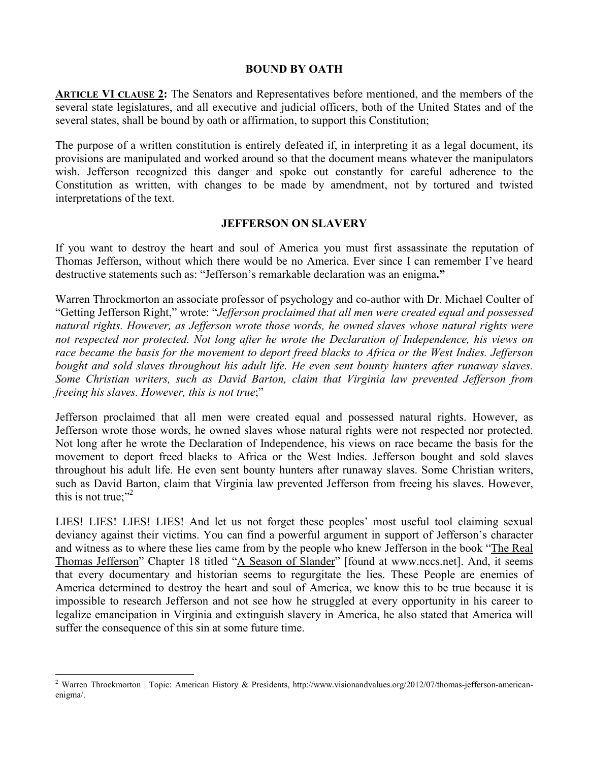### **BOUND BY OATH**

**ARTICLE VI CLAUSE 2:** The Senators and Representatives before mentioned, and the members of the several state legislatures, and all executive and judicial officers, both of the United States and of the several states, shall be bound by oath or affirmation, to support this Constitution;

The purpose of a written constitution is entirely defeated if, in interpreting it as a legal document, its provisions are manipulated and worked around so that the document means whatever the manipulators wish. Jefferson recognized this danger and spoke out constantly for careful adherence to the Constitution as written, with changes to be made by amendment, not by tortured and twisted interpretations of the text.

#### **JEFFERSON ON SLAVERY**

If you want to destroy the heart and soul of America you must first assassinate the reputation of Thomas Jefferson, without which there would be no America. Ever since I can remember I've heard destructive statements such as: "Jefferson's remarkable declaration was an enigma**."**

Warren Throckmorton an associate professor of psychology and co-author with Dr. Michael Coulter of "Getting Jefferson Right," wrote: "*Jefferson proclaimed that all men were created equal and possessed natural rights. However, as Jefferson wrote those words, he owned slaves whose natural rights were not respected nor protected. Not long after he wrote the Declaration of Independence, his views on race became the basis for the movement to deport freed blacks to Africa or the West Indies. Jefferson bought and sold slaves throughout his adult life. He even sent bounty hunters after runaway slaves. Some Christian writers, such as David Barton, claim that Virginia law prevented Jefferson from freeing his slaves. However, this is not true*;"

Jefferson proclaimed that all men were created equal and possessed natural rights. However, as Jefferson wrote those words, he owned slaves whose natural rights were not respected nor protected. Not long after he wrote the Declaration of Independence, his views on race became the basis for the movement to deport freed blacks to Africa or the West Indies. Jefferson bought and sold slaves throughout his adult life. He even sent bounty hunters after runaway slaves. Some Christian writers, such as David Barton, claim that Virginia law prevented Jefferson from freeing his slaves. However, this is not true;"<sup>2</sup>

LIES! LIES! LIES! LIES! And let us not forget these peoples' most useful tool claiming sexual deviancy against their victims. You can find a powerful argument in support of Jefferson's character and witness as to where these lies came from by the people who knew Jefferson in the book "The Real Thomas Jefferson" Chapter 18 titled "A Season of Slander" [found at www.nccs.net]. And, it seems that every documentary and historian seems to regurgitate the lies. These People are enemies of America determined to destroy the heart and soul of America, we know this to be true because it is impossible to research Jefferson and not see how he struggled at every opportunity in his career to legalize emancipation in Virginia and extinguish slavery in America, he also stated that America will suffer the consequence of this sin at some future time.

 2 Warren Throckmorton | Topic: American History & Presidents, http://www.visionandvalues.org/2012/07/thomas-jefferson-americanenigma/.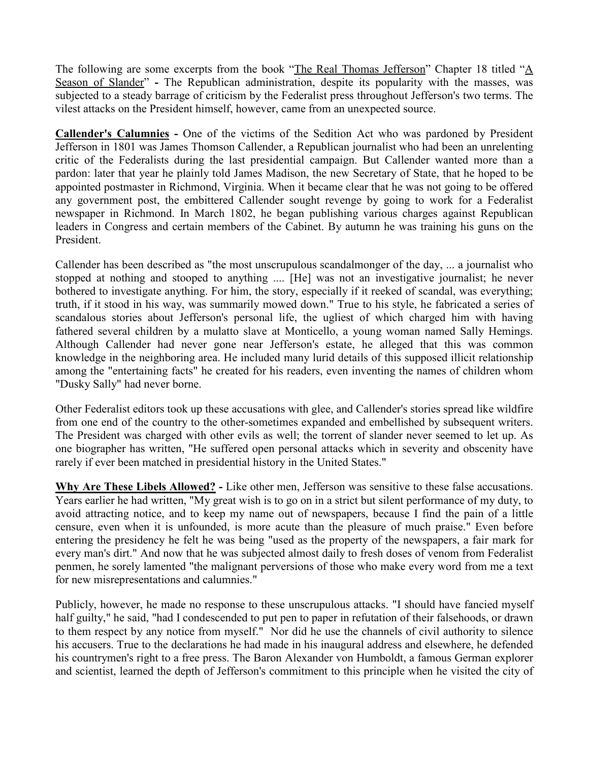The following are some excerpts from the book "The Real Thomas Jefferson" Chapter 18 titled " $\underline{A}$ Season of Slander" **-** The Republican administration, despite its popularity with the masses, was subjected to a steady barrage of criticism by the Federalist press throughout Jefferson's two terms. The vilest attacks on the President himself, however, came from an unexpected source.

**Callender's Calumnies -** One of the victims of the Sedition Act who was pardoned by President Jefferson in 1801 was James Thomson Callender, a Republican journalist who had been an unrelenting critic of the Federalists during the last presidential campaign. But Callender wanted more than a pardon: later that year he plainly told James Madison, the new Secretary of State, that he hoped to be appointed postmaster in Richmond, Virginia. When it became clear that he was not going to be offered any government post, the embittered Callender sought revenge by going to work for a Federalist newspaper in Richmond. In March 1802, he began publishing various charges against Republican leaders in Congress and certain members of the Cabinet. By autumn he was training his guns on the President.

Callender has been described as "the most unscrupulous scandalmonger of the day, ... a journalist who stopped at nothing and stooped to anything .... [He] was not an investigative journalist; he never bothered to investigate anything. For him, the story, especially if it reeked of scandal, was everything; truth, if it stood in his way, was summarily mowed down." True to his style, he fabricated a series of scandalous stories about Jefferson's personal life, the ugliest of which charged him with having fathered several children by a mulatto slave at Monticello, a young woman named Sally Hemings. Although Callender had never gone near Jefferson's estate, he alleged that this was common knowledge in the neighboring area. He included many lurid details of this supposed illicit relationship among the "entertaining facts" he created for his readers, even inventing the names of children whom "Dusky Sally" had never borne.

Other Federalist editors took up these accusations with glee, and Callender's stories spread like wildfire from one end of the country to the other-sometimes expanded and embellished by subsequent writers. The President was charged with other evils as well; the torrent of slander never seemed to let up. As one biographer has written, "He suffered open personal attacks which in severity and obscenity have rarely if ever been matched in presidential history in the United States."

**Why Are These Libels Allowed? -** Like other men, Jefferson was sensitive to these false accusations. Years earlier he had written, "My great wish is to go on in a strict but silent performance of my duty, to avoid attracting notice, and to keep my name out of newspapers, because I find the pain of a little censure, even when it is unfounded, is more acute than the pleasure of much praise." Even before entering the presidency he felt he was being "used as the property of the newspapers, a fair mark for every man's dirt." And now that he was subjected almost daily to fresh doses of venom from Federalist penmen, he sorely lamented "the malignant perversions of those who make every word from me a text for new misrepresentations and calumnies."

Publicly, however, he made no response to these unscrupulous attacks. "I should have fancied myself half guilty," he said, "had I condescended to put pen to paper in refutation of their falsehoods, or drawn to them respect by any notice from myself." Nor did he use the channels of civil authority to silence his accusers. True to the declarations he had made in his inaugural address and elsewhere, he defended his countrymen's right to a free press. The Baron Alexander von Humboldt, a famous German explorer and scientist, learned the depth of Jefferson's commitment to this principle when he visited the city of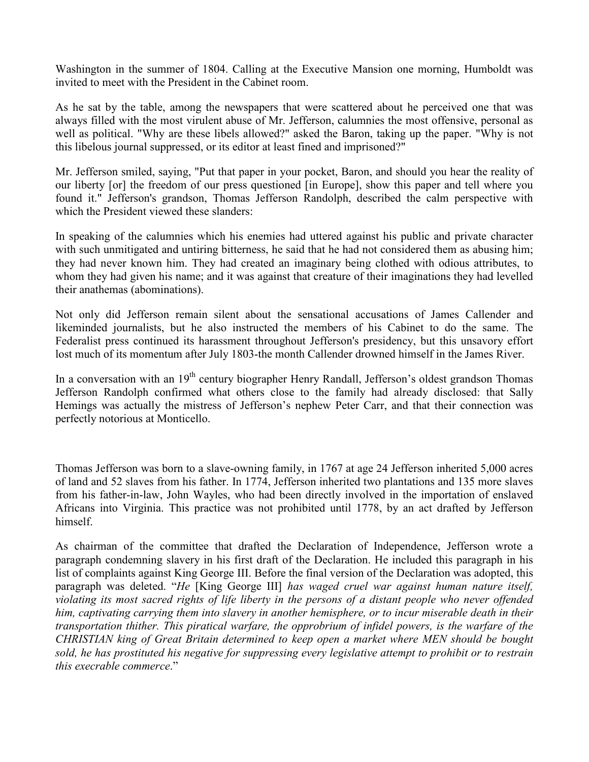Washington in the summer of 1804. Calling at the Executive Mansion one morning, Humboldt was invited to meet with the President in the Cabinet room.

As he sat by the table, among the newspapers that were scattered about he perceived one that was always filled with the most virulent abuse of Mr. Jefferson, calumnies the most offensive, personal as well as political. "Why are these libels allowed?" asked the Baron, taking up the paper. "Why is not this libelous journal suppressed, or its editor at least fined and imprisoned?"

Mr. Jefferson smiled, saying, "Put that paper in your pocket, Baron, and should you hear the reality of our liberty [or] the freedom of our press questioned [in Europe], show this paper and tell where you found it." Jefferson's grandson, Thomas Jefferson Randolph, described the calm perspective with which the President viewed these slanders:

In speaking of the calumnies which his enemies had uttered against his public and private character with such unmitigated and untiring bitterness, he said that he had not considered them as abusing him; they had never known him. They had created an imaginary being clothed with odious attributes, to whom they had given his name; and it was against that creature of their imaginations they had levelled their anathemas (abominations).

Not only did Jefferson remain silent about the sensational accusations of James Callender and likeminded journalists, but he also instructed the members of his Cabinet to do the same. The Federalist press continued its harassment throughout Jefferson's presidency, but this unsavory effort lost much of its momentum after July 1803-the month Callender drowned himself in the James River.

In a conversation with an  $19<sup>th</sup>$  century biographer Henry Randall, Jefferson's oldest grandson Thomas Jefferson Randolph confirmed what others close to the family had already disclosed: that Sally Hemings was actually the mistress of Jefferson's nephew Peter Carr, and that their connection was perfectly notorious at Monticello.

Thomas Jefferson was born to a slave-owning family, in 1767 at age 24 Jefferson inherited 5,000 acres of land and 52 slaves from his father. In 1774, Jefferson inherited two plantations and 135 more slaves from his father-in-law, John Wayles, who had been directly involved in the importation of enslaved Africans into Virginia. This practice was not prohibited until 1778, by an act drafted by Jefferson himself.

As chairman of the committee that drafted the Declaration of Independence, Jefferson wrote a paragraph condemning slavery in his first draft of the Declaration. He included this paragraph in his list of complaints against King George III. Before the final version of the Declaration was adopted, this paragraph was deleted. "*He* [King George III] *has waged cruel war against human nature itself, violating its most sacred rights of life liberty in the persons of a distant people who never offended him, captivating carrying them into slavery in another hemisphere, or to incur miserable death in their transportation thither. This piratical warfare, the opprobrium of infidel powers, is the warfare of the CHRISTIAN king of Great Britain determined to keep open a market where MEN should be bought sold, he has prostituted his negative for suppressing every legislative attempt to prohibit or to restrain this execrable commerce*."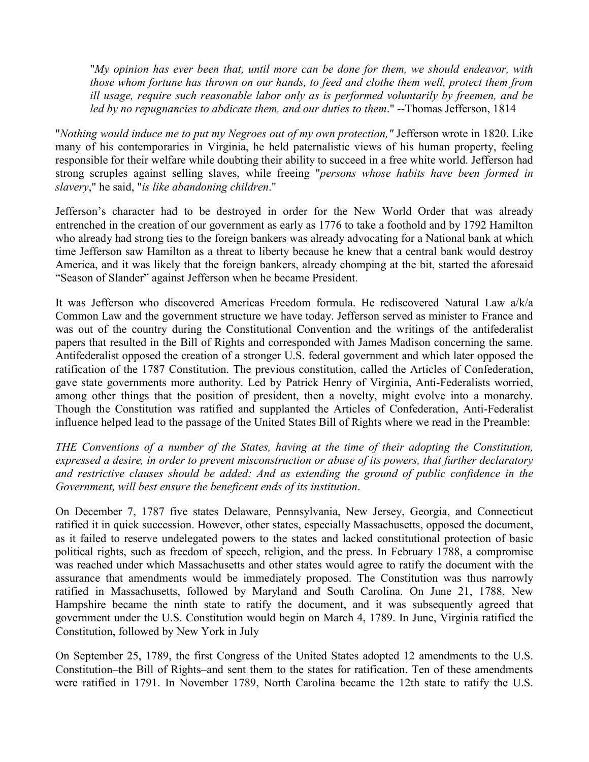"*My opinion has ever been that, until more can be done for them, we should endeavor, with those whom fortune has thrown on our hands, to feed and clothe them well, protect them from ill usage, require such reasonable labor only as is performed voluntarily by freemen, and be led by no repugnancies to abdicate them, and our duties to them*." --Thomas Jefferson, 1814

"*Nothing would induce me to put my Negroes out of my own protection,"* Jefferson wrote in 1820. Like many of his contemporaries in Virginia, he held paternalistic views of his human property, feeling responsible for their welfare while doubting their ability to succeed in a free white world. Jefferson had strong scruples against selling slaves, while freeing "*persons whose habits have been formed in slavery*," he said, "*is like abandoning children*."

Jefferson's character had to be destroyed in order for the New World Order that was already entrenched in the creation of our government as early as 1776 to take a foothold and by 1792 Hamilton who already had strong ties to the foreign bankers was already advocating for a National bank at which time Jefferson saw Hamilton as a threat to liberty because he knew that a central bank would destroy America, and it was likely that the foreign bankers, already chomping at the bit, started the aforesaid "Season of Slander" against Jefferson when he became President.

It was Jefferson who discovered Americas Freedom formula. He rediscovered Natural Law a/k/a Common Law and the government structure we have today. Jefferson served as minister to France and was out of the country during the Constitutional Convention and the writings of the antifederalist papers that resulted in the Bill of Rights and corresponded with James Madison concerning the same. Antifederalist opposed the creation of a stronger U.S. federal government and which later opposed the ratification of the 1787 Constitution. The previous constitution, called the Articles of Confederation, gave state governments more authority. Led by Patrick Henry of Virginia, Anti-Federalists worried, among other things that the position of president, then a novelty, might evolve into a monarchy. Though the Constitution was ratified and supplanted the Articles of Confederation, Anti-Federalist influence helped lead to the passage of the United States Bill of Rights where we read in the Preamble:

*THE Conventions of a number of the States, having at the time of their adopting the Constitution, expressed a desire, in order to prevent misconstruction or abuse of its powers, that further declaratory and restrictive clauses should be added: And as extending the ground of public confidence in the Government, will best ensure the beneficent ends of its institution*.

On December 7, 1787 five states Delaware, Pennsylvania, New Jersey, Georgia, and Connecticut ratified it in quick succession. However, other states, especially Massachusetts, opposed the document, as it failed to reserve undelegated powers to the states and lacked constitutional protection of basic political rights, such as freedom of speech, religion, and the press. In February 1788, a compromise was reached under which Massachusetts and other states would agree to ratify the document with the assurance that amendments would be immediately proposed. The Constitution was thus narrowly ratified in Massachusetts, followed by Maryland and South Carolina. On June 21, 1788, New Hampshire became the ninth state to ratify the document, and it was subsequently agreed that government under the U.S. Constitution would begin on March 4, 1789. In June, Virginia ratified the Constitution, followed by New York in July

On September 25, 1789, the first Congress of the United States adopted 12 amendments to the U.S. Constitution–the Bill of Rights–and sent them to the states for ratification. Ten of these amendments were ratified in 1791. In November 1789, North Carolina became the 12th state to ratify the U.S.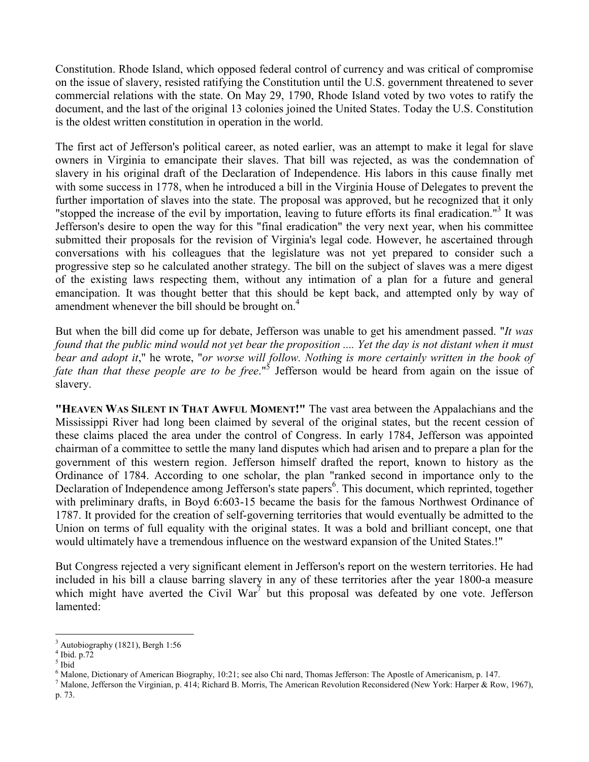Constitution. Rhode Island, which opposed federal control of currency and was critical of compromise on the issue of slavery, resisted ratifying the Constitution until the U.S. government threatened to sever commercial relations with the state. On May 29, 1790, Rhode Island voted by two votes to ratify the document, and the last of the original 13 colonies joined the United States. Today the U.S. Constitution is the oldest written constitution in operation in the world.

The first act of Jefferson's political career, as noted earlier, was an attempt to make it legal for slave owners in Virginia to emancipate their slaves. That bill was rejected, as was the condemnation of slavery in his original draft of the Declaration of Independence. His labors in this cause finally met with some success in 1778, when he introduced a bill in the Virginia House of Delegates to prevent the further importation of slaves into the state. The proposal was approved, but he recognized that it only "stopped the increase of the evil by importation, leaving to future efforts its final eradication."<sup>3</sup> It was Jefferson's desire to open the way for this "final eradication" the very next year, when his committee submitted their proposals for the revision of Virginia's legal code. However, he ascertained through conversations with his colleagues that the legislature was not yet prepared to consider such a progressive step so he calculated another strategy. The bill on the subject of slaves was a mere digest of the existing laws respecting them, without any intimation of a plan for a future and general emancipation. It was thought better that this should be kept back, and attempted only by way of amendment whenever the bill should be brought on.<sup>4</sup>

But when the bill did come up for debate, Jefferson was unable to get his amendment passed. "*It was found that the public mind would not yet bear the proposition .... Yet the day is not distant when it must bear and adopt it*," he wrote, "*or worse will follow. Nothing is more certainly written in the book of*  fate than that these people are to be free."<sup>5</sup> Jefferson would be heard from again on the issue of slavery.

**"HEAVEN WAS SILENT IN THAT AWFUL MOMENT!"** The vast area between the Appalachians and the Mississippi River had long been claimed by several of the original states, but the recent cession of these claims placed the area under the control of Congress. In early 1784, Jefferson was appointed chairman of a committee to settle the many land disputes which had arisen and to prepare a plan for the government of this western region. Jefferson himself drafted the report, known to history as the Ordinance of 1784. According to one scholar, the plan "ranked second in importance only to the Declaration of Independence among Jefferson's state papers<sup>6</sup>. This document, which reprinted, together with preliminary drafts, in Boyd 6:603-15 became the basis for the famous Northwest Ordinance of 1787. It provided for the creation of self-governing territories that would eventually be admitted to the Union on terms of full equality with the original states. It was a bold and brilliant concept, one that would ultimately have a tremendous influence on the westward expansion of the United States.!"

But Congress rejected a very significant element in Jefferson's report on the western territories. He had included in his bill a clause barring slavery in any of these territories after the year 1800-a measure which might have averted the Civil War<sup>7</sup> but this proposal was defeated by one vote. Jefferson lamented:

<sup>&</sup>lt;sup>3</sup> Autobiography (1821), Bergh 1:56

 $4$  Ibid. p.72

<sup>5</sup> Ibid

<sup>6</sup> Malone, Dictionary of American Biography, 10:21; see also Chi nard, Thomas Jefferson: The Apostle of Americanism, p. 147.

<sup>&</sup>lt;sup>7</sup> Malone, Jefferson the Virginian, p. 414; Richard B. Morris, The American Revolution Reconsidered (New York: Harper & Row, 1967), p. 73.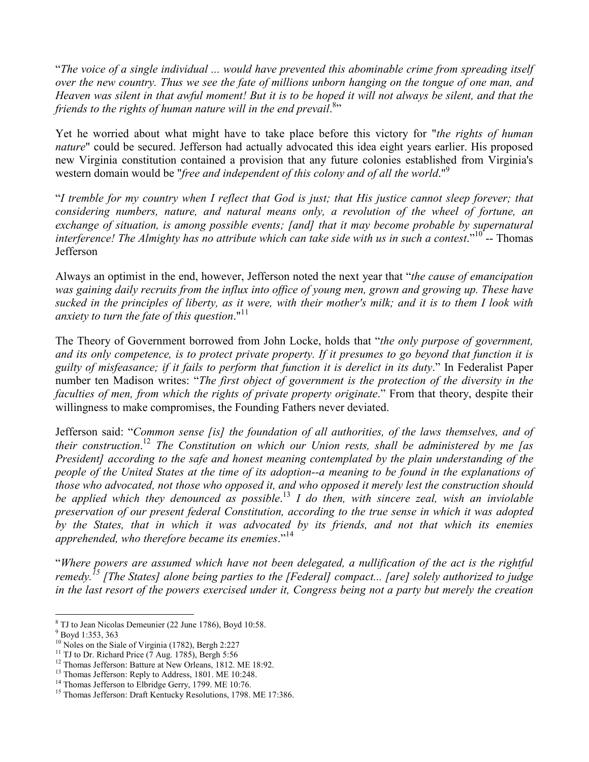"*The voice of a single individual ... would have prevented this abominable crime from spreading itself over the new country. Thus we see the fate of millions unborn hanging on the tongue of one man, and Heaven was silent in that awful moment! But it is to be hoped it will not always be silent, and that the*  friends to the rights of human nature will in the end prevail.<sup>8</sup>"

Yet he worried about what might have to take place before this victory for "*the rights of human nature*" could be secured. Jefferson had actually advocated this idea eight years earlier. His proposed new Virginia constitution contained a provision that any future colonies established from Virginia's western domain would be "*free and independent of this colony and of all the world*."<sup>9</sup>

"*I tremble for my country when I reflect that God is just; that His justice cannot sleep forever; that considering numbers, nature, and natural means only, a revolution of the wheel of fortune, an exchange of situation, is among possible events; [and] that it may become probable by supernatural interference! The Almighty has no attribute which can take side with us in such a contest.*"<sup>10</sup> -- Thomas Jefferson

Always an optimist in the end, however, Jefferson noted the next year that "*the cause of emancipation was gaining daily recruits from the influx into office of young men, grown and growing up. These have sucked in the principles of liberty, as it were, with their mother's milk; and it is to them I look with anxiety to turn the fate of this question*."<sup>11</sup>

The Theory of Government borrowed from John Locke, holds that "*the only purpose of government, and its only competence, is to protect private property. If it presumes to go beyond that function it is guilty of misfeasance; if it fails to perform that function it is derelict in its duty*." In Federalist Paper number ten Madison writes: "*The first object of government is the protection of the diversity in the faculties of men, from which the rights of private property originate*." From that theory, despite their willingness to make compromises, the Founding Fathers never deviated.

Jefferson said: "*Common sense [is] the foundation of all authorities, of the laws themselves, and of their construction*. <sup>12</sup> *The Constitution on which our Union rests, shall be administered by me [as President] according to the safe and honest meaning contemplated by the plain understanding of the people of the United States at the time of its adoption--a meaning to be found in the explanations of those who advocated, not those who opposed it, and who opposed it merely lest the construction should be applied which they denounced as possible*. <sup>13</sup> *I do then, with sincere zeal, wish an inviolable preservation of our present federal Constitution, according to the true sense in which it was adopted by the States, that in which it was advocated by its friends, and not that which its enemies apprehended, who therefore became its enemies*."<sup>14</sup>

"*Where powers are assumed which have not been delegated, a nullification of the act is the rightful remedy.<sup>15</sup> [The States] alone being parties to the [Federal] compact... [are] solely authorized to judge in the last resort of the powers exercised under it, Congress being not a party but merely the creation* 

 8 TJ to Jean Nicolas Demeunier (22 June 1786), Boyd 10:58.

<sup>9</sup> Boyd 1:353, 363

 $10^{10}$  Noles on the Siale of Virginia (1782), Bergh 2:227

<sup>&</sup>lt;sup>11</sup> TJ to Dr. Richard Price ( $\tilde{7}$  Aug. 1785), Bergh 5:56

<sup>&</sup>lt;sup>12</sup> Thomas Jefferson: Batture at New Orleans, 1812. ME 18:92.

<sup>&</sup>lt;sup>13</sup> Thomas Jefferson: Reply to Address, 1801. ME 10:248.

<sup>&</sup>lt;sup>14</sup> Thomas Jefferson to Elbridge Gerry, 1799. ME 10:76.

<sup>&</sup>lt;sup>15</sup> Thomas Jefferson: Draft Kentucky Resolutions, 1798. ME 17:386.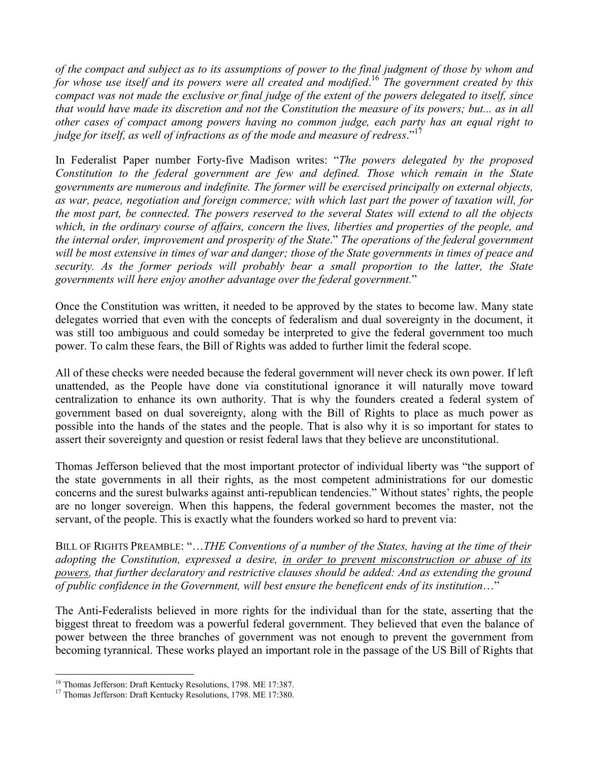*of the compact and subject as to its assumptions of power to the final judgment of those by whom and for whose use itself and its powers were all created and modified*. <sup>16</sup> *The government created by this compact was not made the exclusive or final judge of the extent of the powers delegated to itself, since that would have made its discretion and not the Constitution the measure of its powers; but... as in all other cases of compact among powers having no common judge, each party has an equal right to judge for itself, as well of infractions as of the mode and measure of redress*."<sup>17</sup>

In Federalist Paper number Forty-five Madison writes: "*The powers delegated by the proposed Constitution to the federal government are few and defined. Those which remain in the State governments are numerous and indefinite. The former will be exercised principally on external objects, as war, peace, negotiation and foreign commerce; with which last part the power of taxation will, for the most part, be connected. The powers reserved to the several States will extend to all the objects which, in the ordinary course of affairs, concern the lives, liberties and properties of the people, and the internal order, improvement and prosperity of the State*." *The operations of the federal government will be most extensive in times of war and danger; those of the State governments in times of peace and security. As the former periods will probably bear a small proportion to the latter, the State governments will here enjoy another advantage over the federal government.*"

Once the Constitution was written, it needed to be approved by the states to become law. Many state delegates worried that even with the concepts of federalism and dual sovereignty in the document, it was still too ambiguous and could someday be interpreted to give the federal government too much power. To calm these fears, the Bill of Rights was added to further limit the federal scope.

All of these checks were needed because the federal government will never check its own power. If left unattended, as the People have done via constitutional ignorance it will naturally move toward centralization to enhance its own authority. That is why the founders created a federal system of government based on dual sovereignty, along with the Bill of Rights to place as much power as possible into the hands of the states and the people. That is also why it is so important for states to assert their sovereignty and question or resist federal laws that they believe are unconstitutional.

Thomas Jefferson believed that the most important protector of individual liberty was "the support of the state governments in all their rights, as the most competent administrations for our domestic concerns and the surest bulwarks against anti-republican tendencies." Without states' rights, the people are no longer sovereign. When this happens, the federal government becomes the master, not the servant, of the people. This is exactly what the founders worked so hard to prevent via:

BILL OF RIGHTS PREAMBLE: "…*THE Conventions of a number of the States, having at the time of their adopting the Constitution, expressed a desire, in order to prevent misconstruction or abuse of its powers, that further declaratory and restrictive clauses should be added: And as extending the ground of public confidence in the Government, will best ensure the beneficent ends of its institution*…"

The Anti-Federalists believed in more rights for the individual than for the state, asserting that the biggest threat to freedom was a powerful federal government. They believed that even the balance of power between the three branches of government was not enough to prevent the government from becoming tyrannical. These works played an important role in the passage of the US Bill of Rights that

 $\overline{a}$ 

<sup>&</sup>lt;sup>16</sup> Thomas Jefferson: Draft Kentucky Resolutions, 1798. ME 17:387.

<sup>&</sup>lt;sup>17</sup> Thomas Jefferson: Draft Kentucky Resolutions, 1798. ME 17:380.